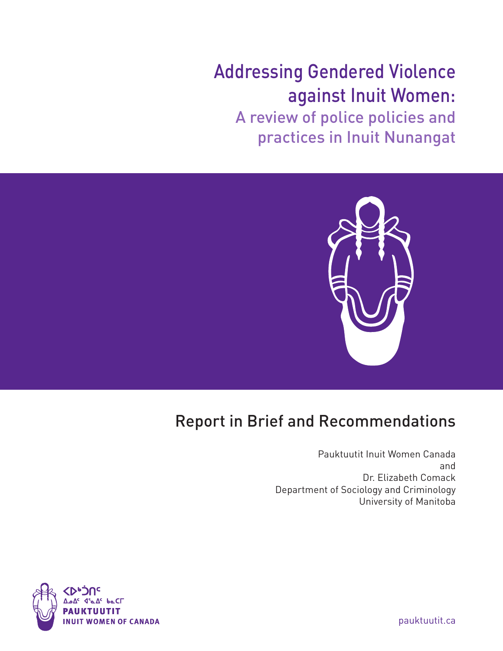# Addressing Gendered Violence against Inuit Women:

A review of police policies and practices in Inuit Nunangat



## Report in Brief and Recommendations

Pauktuutit Inuit Women Canada and Dr. Elizabeth Comack Department of Sociology and Criminology University of Manitoba



pauktuutit.ca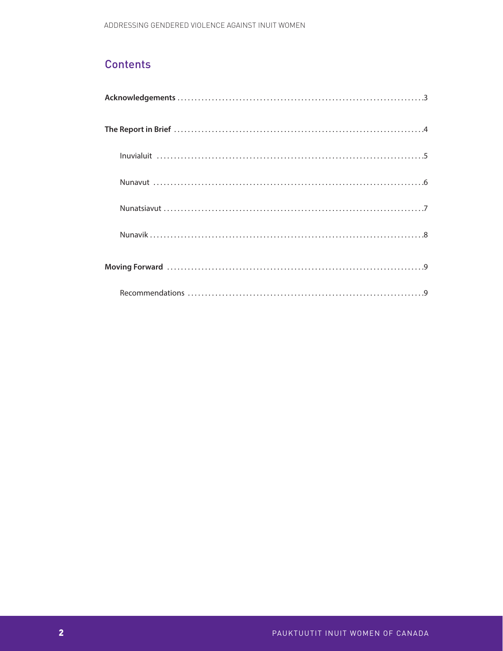## **Contents**

| $\begin{minipage}{0.9\linewidth} \begin{minipage}{0.9\linewidth} \begin{minipage}{0.9\linewidth} \begin{minipage}{0.9\linewidth} \end{minipage} \begin{minipage}{0.9\linewidth} \begin{minipage}{0.9\linewidth} \end{minipage} \begin{minipage}{0.9\linewidth} \begin{minipage}{0.9\linewidth} \end{minipage} \begin{minipage}{0.9\linewidth} \end{minipage} \begin{minipage}{0.9\linewidth} \end{minipage} \begin{minipage}{0.9\linewidth} \end{minipage} \begin{minipage}{0.9\linewidth} \begin{minipage}{0.9\linewidth} \end{minipage} \begin$ |  |
|---------------------------------------------------------------------------------------------------------------------------------------------------------------------------------------------------------------------------------------------------------------------------------------------------------------------------------------------------------------------------------------------------------------------------------------------------------------------------------------------------------------------------------------------------|--|
|                                                                                                                                                                                                                                                                                                                                                                                                                                                                                                                                                   |  |
|                                                                                                                                                                                                                                                                                                                                                                                                                                                                                                                                                   |  |
|                                                                                                                                                                                                                                                                                                                                                                                                                                                                                                                                                   |  |
|                                                                                                                                                                                                                                                                                                                                                                                                                                                                                                                                                   |  |
|                                                                                                                                                                                                                                                                                                                                                                                                                                                                                                                                                   |  |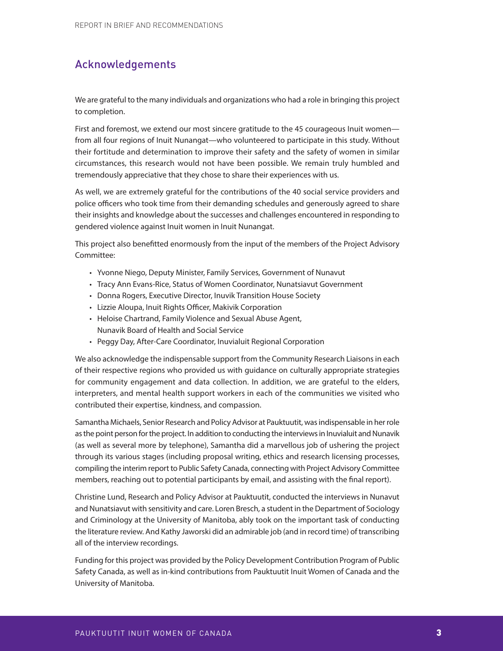## Acknowledgements

We are grateful to the many individuals and organizations who had a role in bringing this project to completion.

First and foremost, we extend our most sincere gratitude to the 45 courageous Inuit women from all four regions of Inuit Nunangat—who volunteered to participate in this study. Without their fortitude and determination to improve their safety and the safety of women in similar circumstances, this research would not have been possible. We remain truly humbled and tremendously appreciative that they chose to share their experiences with us.

As well, we are extremely grateful for the contributions of the 40 social service providers and police officers who took time from their demanding schedules and generously agreed to share their insights and knowledge about the successes and challenges encountered in responding to gendered violence against Inuit women in Inuit Nunangat.

This project also benefitted enormously from the input of the members of the Project Advisory Committee:

- Yvonne Niego, Deputy Minister, Family Services, Government of Nunavut
- Tracy Ann Evans-Rice, Status of Women Coordinator, Nunatsiavut Government
- Donna Rogers, Executive Director, Inuvik Transition House Society
- Lizzie Aloupa, Inuit Rights Officer, Makivik Corporation
- Heloise Chartrand, Family Violence and Sexual Abuse Agent, Nunavik Board of Health and Social Service
- Peggy Day, After-Care Coordinator, Inuvialuit Regional Corporation

We also acknowledge the indispensable support from the Community Research Liaisons in each of their respective regions who provided us with guidance on culturally appropriate strategies for community engagement and data collection. In addition, we are grateful to the elders, interpreters, and mental health support workers in each of the communities we visited who contributed their expertise, kindness, and compassion.

Samantha Michaels, Senior Research and Policy Advisor at Pauktuutit, was indispensable in her role as the point person for the project. In addition to conducting the interviews in Inuvialuit and Nunavik (as well as several more by telephone), Samantha did a marvellous job of ushering the project through its various stages (including proposal writing, ethics and research licensing processes, compiling the interim report to Public Safety Canada, connecting with Project Advisory Committee members, reaching out to potential participants by email, and assisting with the final report).

Christine Lund, Research and Policy Advisor at Pauktuutit, conducted the interviews in Nunavut and Nunatsiavut with sensitivity and care. Loren Bresch, a student in the Department of Sociology and Criminology at the University of Manitoba, ably took on the important task of conducting the literature review. And Kathy Jaworski did an admirable job (and in record time) of transcribing all of the interview recordings.

Funding for this project was provided by the Policy Development Contribution Program of Public Safety Canada, as well as in-kind contributions from Pauktuutit Inuit Women of Canada and the University of Manitoba.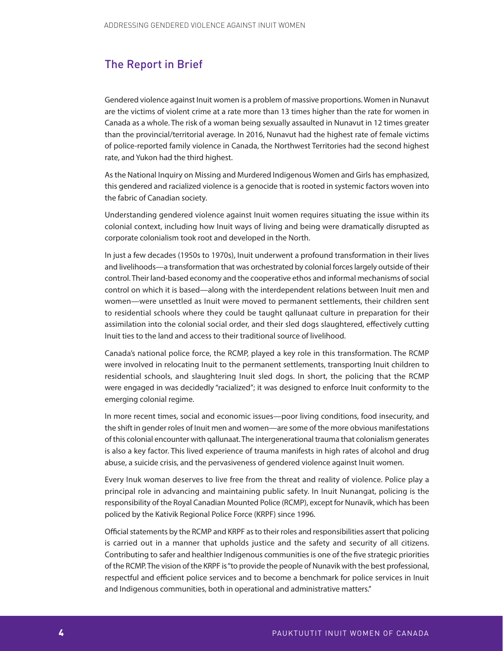### The Report in Brief

Gendered violence against Inuit women is a problem of massive proportions. Women in Nunavut are the victims of violent crime at a rate more than 13 times higher than the rate for women in Canada as a whole. The risk of a woman being sexually assaulted in Nunavut in 12 times greater than the provincial/territorial average. In 2016, Nunavut had the highest rate of female victims of police-reported family violence in Canada, the Northwest Territories had the second highest rate, and Yukon had the third highest.

As the National Inquiry on Missing and Murdered Indigenous Women and Girls has emphasized, this gendered and racialized violence is a genocide that is rooted in systemic factors woven into the fabric of Canadian society.

Understanding gendered violence against Inuit women requires situating the issue within its colonial context, including how Inuit ways of living and being were dramatically disrupted as corporate colonialism took root and developed in the North.

In just a few decades (1950s to 1970s), Inuit underwent a profound transformation in their lives and livelihoods—a transformation that was orchestrated by colonial forces largely outside of their control. Their land-based economy and the cooperative ethos and informal mechanisms of social control on which it is based—along with the interdependent relations between Inuit men and women—were unsettled as Inuit were moved to permanent settlements, their children sent to residential schools where they could be taught qallunaat culture in preparation for their assimilation into the colonial social order, and their sled dogs slaughtered, effectively cutting Inuit ties to the land and access to their traditional source of livelihood.

Canada's national police force, the RCMP, played a key role in this transformation. The RCMP were involved in relocating Inuit to the permanent settlements, transporting Inuit children to residential schools, and slaughtering Inuit sled dogs. In short, the policing that the RCMP were engaged in was decidedly "racialized"; it was designed to enforce Inuit conformity to the emerging colonial regime.

In more recent times, social and economic issues—poor living conditions, food insecurity, and the shift in gender roles of Inuit men and women—are some of the more obvious manifestations of this colonial encounter with qallunaat. The intergenerational trauma that colonialism generates is also a key factor. This lived experience of trauma manifests in high rates of alcohol and drug abuse, a suicide crisis, and the pervasiveness of gendered violence against Inuit women.

Every Inuk woman deserves to live free from the threat and reality of violence. Police play a principal role in advancing and maintaining public safety. In Inuit Nunangat, policing is the responsibility of the Royal Canadian Mounted Police (RCMP), except for Nunavik, which has been policed by the Kativik Regional Police Force (KRPF) since 1996.

Official statements by the RCMP and KRPF as to their roles and responsibilities assert that policing is carried out in a manner that upholds justice and the safety and security of all citizens. Contributing to safer and healthier Indigenous communities is one of the five strategic priorities of the RCMP. The vision of the KRPF is "to provide the people of Nunavik with the best professional, respectful and efficient police services and to become a benchmark for police services in Inuit and Indigenous communities, both in operational and administrative matters."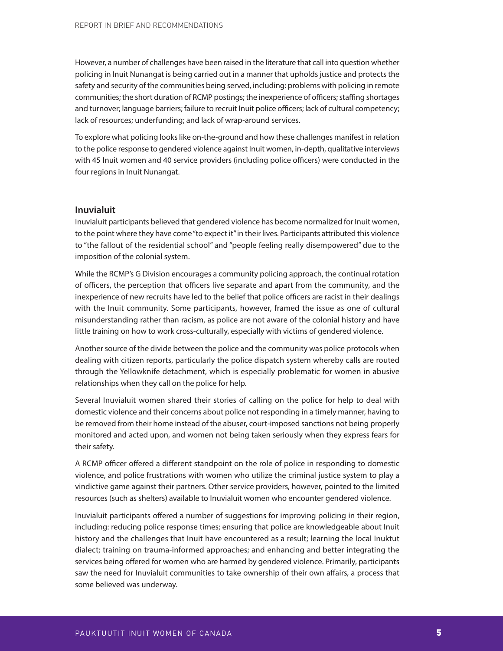However, a number of challenges have been raised in the literature that call into question whether policing in Inuit Nunangat is being carried out in a manner that upholds justice and protects the safety and security of the communities being served, including: problems with policing in remote communities; the short duration of RCMP postings; the inexperience of officers; staffing shortages and turnover; language barriers; failure to recruit Inuit police officers; lack of cultural competency; lack of resources; underfunding; and lack of wrap-around services.

To explore what policing looks like on-the-ground and how these challenges manifest in relation to the police response to gendered violence against Inuit women, in-depth, qualitative interviews with 45 Inuit women and 40 service providers (including police officers) were conducted in the four regions in Inuit Nunangat.

#### **Inuvialuit**

Inuvialuit participants believed that gendered violence has become normalized for Inuit women, to the point where they have come "to expect it" in their lives. Participants attributed this violence to "the fallout of the residential school" and "people feeling really disempowered" due to the imposition of the colonial system.

While the RCMP's G Division encourages a community policing approach, the continual rotation of officers, the perception that officers live separate and apart from the community, and the inexperience of new recruits have led to the belief that police officers are racist in their dealings with the Inuit community. Some participants, however, framed the issue as one of cultural misunderstanding rather than racism, as police are not aware of the colonial history and have little training on how to work cross-culturally, especially with victims of gendered violence.

Another source of the divide between the police and the community was police protocols when dealing with citizen reports, particularly the police dispatch system whereby calls are routed through the Yellowknife detachment, which is especially problematic for women in abusive relationships when they call on the police for help.

Several Inuvialuit women shared their stories of calling on the police for help to deal with domestic violence and their concerns about police not responding in a timely manner, having to be removed from their home instead of the abuser, court-imposed sanctions not being properly monitored and acted upon, and women not being taken seriously when they express fears for their safety.

A RCMP officer offered a different standpoint on the role of police in responding to domestic violence, and police frustrations with women who utilize the criminal justice system to play a vindictive game against their partners. Other service providers, however, pointed to the limited resources (such as shelters) available to Inuvialuit women who encounter gendered violence.

Inuvialuit participants offered a number of suggestions for improving policing in their region, including: reducing police response times; ensuring that police are knowledgeable about Inuit history and the challenges that Inuit have encountered as a result; learning the local Inuktut dialect; training on trauma-informed approaches; and enhancing and better integrating the services being offered for women who are harmed by gendered violence. Primarily, participants saw the need for Inuvialuit communities to take ownership of their own affairs, a process that some believed was underway.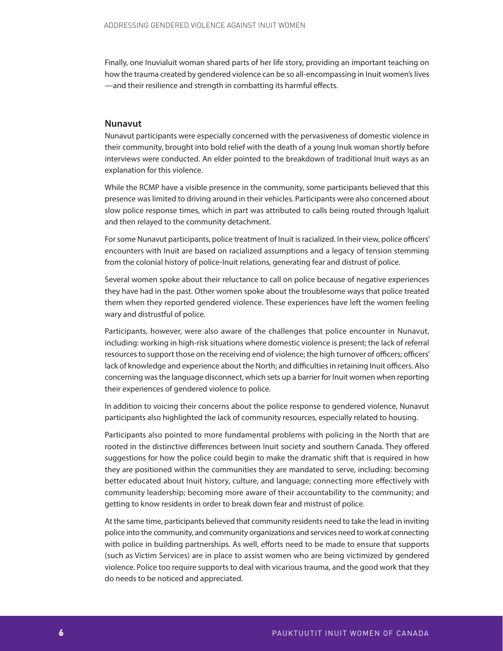Finally, one Inuvialuit woman shared parts of her life story, providing an important teaching on how the trauma created by gendered violence can be so all-encompassing in Inuit women's lives —and their resilience and strength in combatting its harmful effects.

#### **Nunavut**

Nunavut participants were especially concerned with the pervasiveness of domestic violence in their community, brought into bold relief with the death of a young Inuk woman shortly before interviews were conducted. An elder pointed to the breakdown of traditional Inuit ways as an explanation for this violence.

While the RCMP have a visible presence in the community, some participants believed that this presence was limited to driving around in their vehicles. Participants were also concerned about slow police response times, which in part was attributed to calls being routed through Iqaluit and then relayed to the community detachment.

For some Nunavut participants, police treatment of Inuit is racialized. In their view, police officers' encounters with Inuit are based on racialized assumptions and a legacy of tension stemming from the colonial history of police-Inuit relations, generating fear and distrust of police.

Several women spoke about their reluctance to call on police because of negative experiences they have had in the past. Other women spoke about the troublesome ways that police treated them when they reported gendered violence. These experiences have left the women feeling wary and distrustful of police.

Participants, however, were also aware of the challenges that police encounter in Nunavut, including: working in high-risk situations where domestic violence is present; the lack of referral resources to support those on the receiving end of violence; the high turnover of officers; officers' lack of knowledge and experience about the North; and difficulties in retaining Inuit officers. Also concerning was the language disconnect, which sets up a barrier for Inuit women when reporting their experiences of gendered violence to police.

In addition to voicing their concerns about the police response to gendered violence, Nunavut participants also highlighted the lack of community resources, especially related to housing.

Participants also pointed to more fundamental problems with policing in the North that are rooted in the distinctive differences between Inuit society and southern Canada. They offered suggestions for how the police could begin to make the dramatic shift that is required in how they are positioned within the communities they are mandated to serve, including: becoming better educated about Inuit history, culture, and language; connecting more effectively with community leadership; becoming more aware of their accountability to the community; and getting to know residents in order to break down fear and mistrust of police.

At the same time, participants believed that community residents need to take the lead in inviting police into the community, and community organizations and services need to work at connecting with police in building partnerships. As well, efforts need to be made to ensure that supports (such as Victim Services) are in place to assist women who are being victimized by gendered violence. Police too require supports to deal with vicarious trauma, and the good work that they do needs to be noticed and appreciated.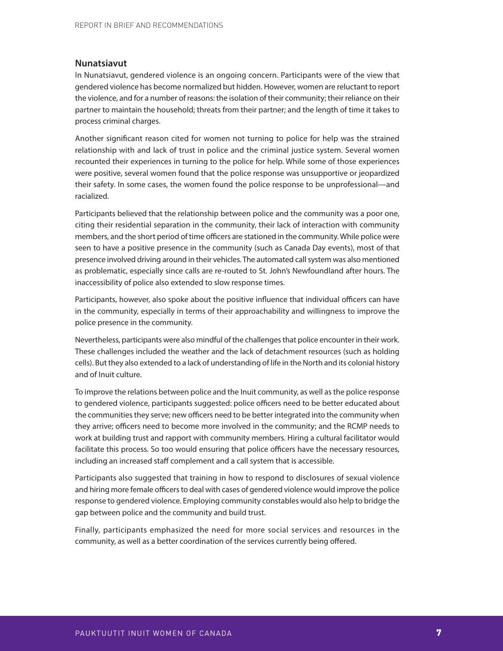#### **Nunatsiavut**

In Nunatsiavut, gendered violence is an ongoing concern. Participants were of the view that gendered violence has become normalized but hidden. However, women are reluctant to report the violence, and for a number of reasons: the isolation of their community; their reliance on their partner to maintain the household; threats from their partner; and the length of time it takes to process criminal charges.

Another significant reason cited for women not turning to police for help was the strained relationship with and lack of trust in police and the criminal justice system. Several women recounted their experiences in turning to the police for help. While some of those experiences were positive, several women found that the police response was unsupportive or jeopardized their safety. In some cases, the women found the police response to be unprofessional—and racialized.

Participants believed that the relationship between police and the community was a poor one, citing their residential separation in the community, their lack of interaction with community members, and the short period of time officers are stationed in the community. While police were seen to have a positive presence in the community (such as Canada Day events), most of that presence involved driving around in their vehicles. The automated call system was also mentioned as problematic, especially since calls are re-routed to St. John's Newfoundland after hours. The inaccessibility of police also extended to slow response times.

Participants, however, also spoke about the positive influence that individual officers can have in the community, especially in terms of their approachability and willingness to improve the police presence in the community.

Nevertheless, participants were also mindful of the challenges that police encounter in their work. These challenges included the weather and the lack of detachment resources (such as holding cells). But they also extended to a lack of understanding of life in the North and its colonial history and of Inuit culture.

To improve the relations between police and the Inuit community, as well as the police response to gendered violence, participants suggested: police officers need to be better educated about the communities they serve; new officers need to be better integrated into the community when they arrive; officers need to become more involved in the community; and the RCMP needs to work at building trust and rapport with community members. Hiring a cultural facilitator would facilitate this process. So too would ensuring that police officers have the necessary resources, including an increased staff complement and a call system that is accessible.

Participants also suggested that training in how to respond to disclosures of sexual violence and hiring more female officers to deal with cases of gendered violence would improve the police response to gendered violence. Employing community constables would also help to bridge the gap between police and the community and build trust.

Finally, participants emphasized the need for more social services and resources in the community, as well as a better coordination of the services currently being offered.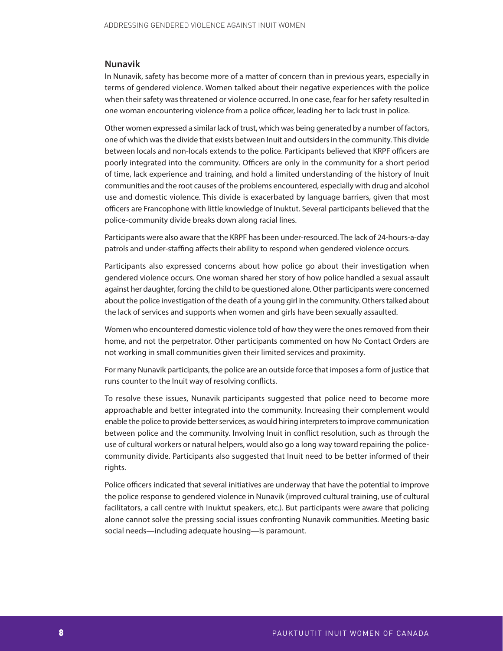#### **Nunavik**

In Nunavik, safety has become more of a matter of concern than in previous years, especially in terms of gendered violence. Women talked about their negative experiences with the police when their safety was threatened or violence occurred. In one case, fear for her safety resulted in one woman encountering violence from a police officer, leading her to lack trust in police.

Other women expressed a similar lack of trust, which was being generated by a number of factors, one of which was the divide that exists between Inuit and outsiders in the community. This divide between locals and non-locals extends to the police. Participants believed that KRPF officers are poorly integrated into the community. Officers are only in the community for a short period of time, lack experience and training, and hold a limited understanding of the history of Inuit communities and the root causes of the problems encountered, especially with drug and alcohol use and domestic violence. This divide is exacerbated by language barriers, given that most officers are Francophone with little knowledge of Inuktut. Several participants believed that the police-community divide breaks down along racial lines.

Participants were also aware that the KRPF has been under-resourced. The lack of 24-hours-a-day patrols and under-staffing affects their ability to respond when gendered violence occurs.

Participants also expressed concerns about how police go about their investigation when gendered violence occurs. One woman shared her story of how police handled a sexual assault against her daughter, forcing the child to be questioned alone. Other participants were concerned about the police investigation of the death of a young girl in the community. Others talked about the lack of services and supports when women and girls have been sexually assaulted.

Women who encountered domestic violence told of how they were the ones removed from their home, and not the perpetrator. Other participants commented on how No Contact Orders are not working in small communities given their limited services and proximity.

For many Nunavik participants, the police are an outside force that imposes a form of justice that runs counter to the Inuit way of resolving conflicts.

To resolve these issues, Nunavik participants suggested that police need to become more approachable and better integrated into the community. Increasing their complement would enable the police to provide better services, as would hiring interpreters to improve communication between police and the community. Involving Inuit in conflict resolution, such as through the use of cultural workers or natural helpers, would also go a long way toward repairing the policecommunity divide. Participants also suggested that Inuit need to be better informed of their rights.

Police officers indicated that several initiatives are underway that have the potential to improve the police response to gendered violence in Nunavik (improved cultural training, use of cultural facilitators, a call centre with Inuktut speakers, etc.). But participants were aware that policing alone cannot solve the pressing social issues confronting Nunavik communities. Meeting basic social needs—including adequate housing—is paramount.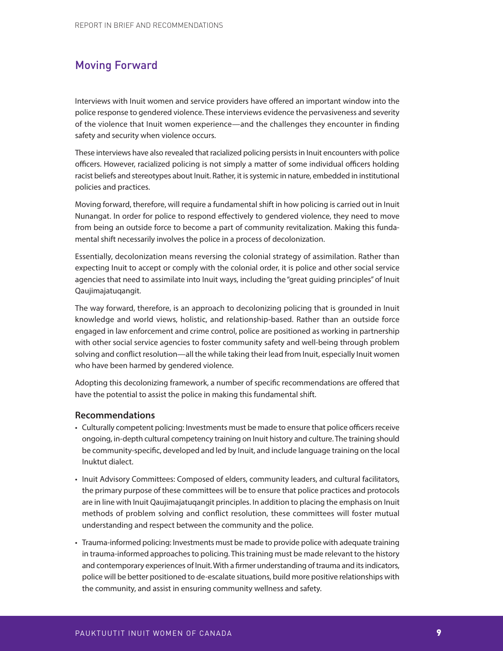## Moving Forward

Interviews with Inuit women and service providers have offered an important window into the police response to gendered violence. These interviews evidence the pervasiveness and severity of the violence that Inuit women experience—and the challenges they encounter in finding safety and security when violence occurs.

These interviews have also revealed that racialized policing persists in Inuit encounters with police officers. However, racialized policing is not simply a matter of some individual officers holding racist beliefs and stereotypes about Inuit. Rather, it is systemic in nature, embedded in institutional policies and practices.

Moving forward, therefore, will require a fundamental shift in how policing is carried out in Inuit Nunangat. In order for police to respond effectively to gendered violence, they need to move from being an outside force to become a part of community revitalization. Making this fundamental shift necessarily involves the police in a process of decolonization.

Essentially, decolonization means reversing the colonial strategy of assimilation. Rather than expecting Inuit to accept or comply with the colonial order, it is police and other social service agencies that need to assimilate into Inuit ways, including the "great guiding principles" of Inuit Qaujimajatuqangit.

The way forward, therefore, is an approach to decolonizing policing that is grounded in Inuit knowledge and world views, holistic, and relationship-based. Rather than an outside force engaged in law enforcement and crime control, police are positioned as working in partnership with other social service agencies to foster community safety and well-being through problem solving and conflict resolution—all the while taking their lead from Inuit, especially Inuit women who have been harmed by gendered violence.

Adopting this decolonizing framework, a number of specific recommendations are offered that have the potential to assist the police in making this fundamental shift.

#### **Recommendations**

- Culturally competent policing: Investments must be made to ensure that police officers receive ongoing, in-depth cultural competency training on Inuit history and culture. The training should be community-specific, developed and led by Inuit, and include language training on the local Inuktut dialect.
- Inuit Advisory Committees: Composed of elders, community leaders, and cultural facilitators, the primary purpose of these committees will be to ensure that police practices and protocols are in line with Inuit Qaujimajatuqangit principles. In addition to placing the emphasis on Inuit methods of problem solving and conflict resolution, these committees will foster mutual understanding and respect between the community and the police.
- Trauma-informed policing: Investments must be made to provide police with adequate training in trauma-informed approaches to policing. This training must be made relevant to the history and contemporary experiences of Inuit. With a firmer understanding of trauma and its indicators, police will be better positioned to de-escalate situations, build more positive relationships with the community, and assist in ensuring community wellness and safety.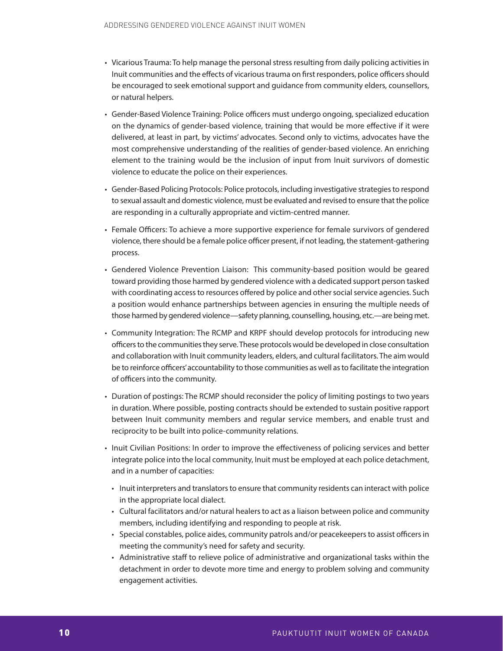- Vicarious Trauma: To help manage the personal stress resulting from daily policing activities in Inuit communities and the effects of vicarious trauma on first responders, police officers should be encouraged to seek emotional support and guidance from community elders, counsellors, or natural helpers.
- Gender-Based Violence Training: Police officers must undergo ongoing, specialized education on the dynamics of gender-based violence, training that would be more effective if it were delivered, at least in part, by victims' advocates. Second only to victims, advocates have the most comprehensive understanding of the realities of gender-based violence. An enriching element to the training would be the inclusion of input from Inuit survivors of domestic violence to educate the police on their experiences.
- Gender-Based Policing Protocols: Police protocols, including investigative strategies to respond to sexual assault and domestic violence, must be evaluated and revised to ensure that the police are responding in a culturally appropriate and victim-centred manner.
- Female Officers: To achieve a more supportive experience for female survivors of gendered violence, there should be a female police officer present, if not leading, the statement-gathering process.
- Gendered Violence Prevention Liaison: This community-based position would be geared toward providing those harmed by gendered violence with a dedicated support person tasked with coordinating access to resources offered by police and other social service agencies. Such a position would enhance partnerships between agencies in ensuring the multiple needs of those harmed by gendered violence—safety planning, counselling, housing, etc.—are being met.
- Community Integration: The RCMP and KRPF should develop protocols for introducing new officers to the communities they serve. These protocols would be developed in close consultation and collaboration with Inuit community leaders, elders, and cultural facilitators. The aim would be to reinforce officers' accountability to those communities as well as to facilitate the integration of officers into the community.
- Duration of postings: The RCMP should reconsider the policy of limiting postings to two years in duration. Where possible, posting contracts should be extended to sustain positive rapport between Inuit community members and regular service members, and enable trust and reciprocity to be built into police-community relations.
- Inuit Civilian Positions: In order to improve the effectiveness of policing services and better integrate police into the local community, Inuit must be employed at each police detachment, and in a number of capacities:
	- Inuit interpreters and translators to ensure that community residents can interact with police in the appropriate local dialect.
	- Cultural facilitators and/or natural healers to act as a liaison between police and community members, including identifying and responding to people at risk.
	- Special constables, police aides, community patrols and/or peacekeepers to assist officers in meeting the community's need for safety and security.
	- Administrative staff to relieve police of administrative and organizational tasks within the detachment in order to devote more time and energy to problem solving and community engagement activities.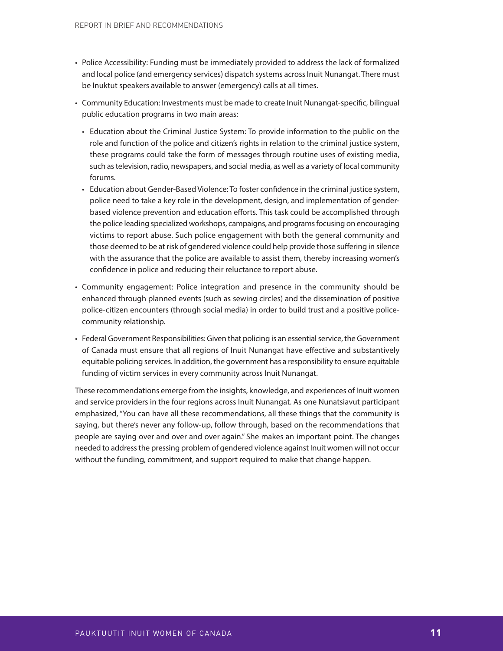- Police Accessibility: Funding must be immediately provided to address the lack of formalized and local police (and emergency services) dispatch systems across Inuit Nunangat. There must be Inuktut speakers available to answer (emergency) calls at all times.
- Community Education: Investments must be made to create Inuit Nunangat-specific, bilingual public education programs in two main areas:
	- Education about the Criminal Justice System: To provide information to the public on the role and function of the police and citizen's rights in relation to the criminal justice system, these programs could take the form of messages through routine uses of existing media, such as television, radio, newspapers, and social media, as well as a variety of local community forums.
	- Education about Gender-Based Violence: To foster confidence in the criminal justice system, police need to take a key role in the development, design, and implementation of gender based violence prevention and education efforts. This task could be accomplished through the police leading specialized workshops, campaigns, and programs focusing on encouraging victims to report abuse. Such police engagement with both the general community and those deemed to be at risk of gendered violence could help provide those suffering in silence with the assurance that the police are available to assist them, thereby increasing women's confidence in police and reducing their reluctance to report abuse.
- Community engagement: Police integration and presence in the community should be enhanced through planned events (such as sewing circles) and the dissemination of positive police-citizen encounters (through social media) in order to build trust and a positive police community relationship.
- Federal Government Responsibilities: Given that policing is an essential service, the Government of Canada must ensure that all regions of Inuit Nunangat have effective and substantively equitable policing services. In addition, the government has a responsibility to ensure equitable funding of victim services in every community across Inuit Nunangat.

These recommendations emerge from the insights, knowledge, and experiences of Inuit women and service providers in the four regions across Inuit Nunangat. As one Nunatsiavut participant emphasized, "You can have all these recommendations, all these things that the community is saying, but there's never any follow-up, follow through, based on the recommendations that people are saying over and over and over again." She makes an important point. The changes needed to address the pressing problem of gendered violence against Inuit women will not occur without the funding, commitment, and support required to make that change happen.